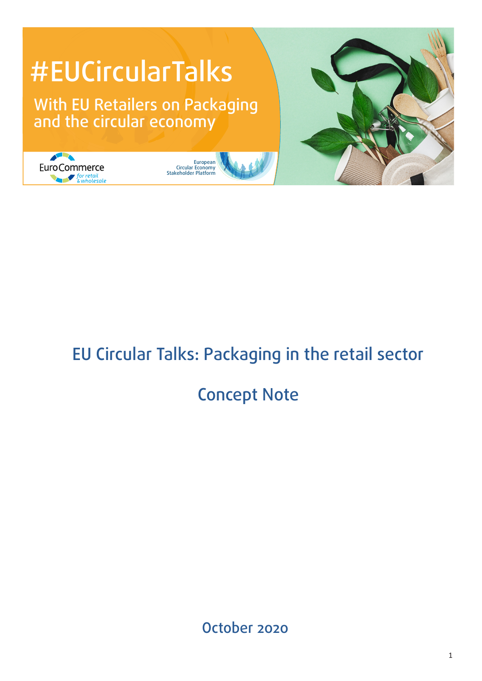

# EU Circular Talks: Packaging in the retail sector

## Concept Note

October 2020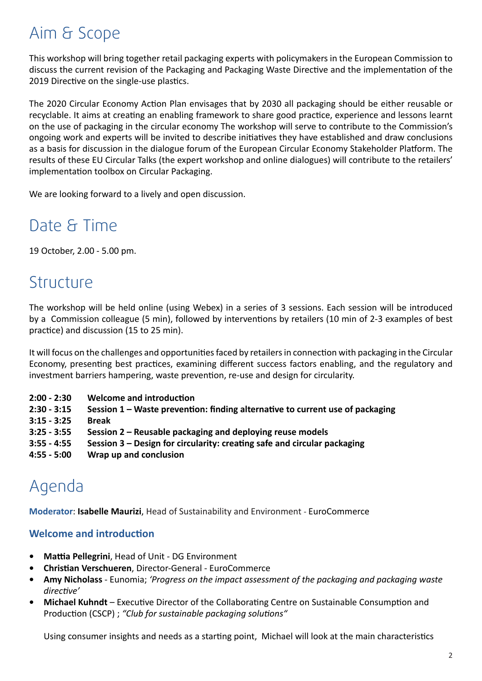## Aim & Scope

This workshop will bring together retail packaging experts with policymakers in the European Commission to 2019 Directive on the single-use plastics. discuss the current revision of the Packaging and Packaging Waste Directive and the implementation of the

The 2020 Circular Economy Action Plan envisages that by 2030 all packaging should be either reusable or on the use of packaging in the circular economy The workshop will serve to contribute to the Commission's<br>ongoing work and experts will be invited to describe initiatives they have established and draw conclusions recyclable. It aims at creating an enabling framework to share good practice, experience and lessons learnt ongoing work and experts will be invited to describe initiatives they have established and draw conclusions as a basis for discussion in the dialogue forum of the European Circular Economy Stakeholder Platform. The results of these EU Circular Talks (the expert workshop and online dialogues) will contribute to the retailers' implementation toolbox on Circular Packaging.

We are looking forward to a lively and open discussion.

## Date & Time

19 October, 2.00 - 5.00 pm.

### Structure

The workshop will be held online (using Webex) in a series of 3 sessions. Each session will be introduced by a Commission colleague (5 min), followed by interventions by retailers (10 min of 2-3 examples of best practice) and discussion (15 to 25 min).

It will focus on the challenges and opportunities faced by retailers in connection with packaging in the Circular Economy, presenting best practices, examining different success factors enabling, and the regulatory and investment barriers hampering, waste prevention, re-use and design for circularity.

- **2:00 2:30 Welcome and introduction**
- **2:30 3:15 Session 1 Waste prevention: finding alternative to current use of packaging**
- **3:15 3:25 Break**
- **3:25 3:55 Session 2 Reusable packaging and deploying reuse models**
- **3:55 4:55 Session 3 Design for circularity: creating safe and circular packaging**
- **4:55 5:00 Wrap up and conclusion**

## Agenda

**Moderator**: **Isabelle Maurizi**, Head of Sustainability and Environment - EuroCommerce

### **Welcome and introduction**

- **• Mattia Pellegrini**, Head of Unit DG Environment
- **• Christian Verschueren**, Director-General EuroCommerce
- **• Amy Nicholass** Eunomia; *'Progress on the impact assessment of the packaging and packaging waste directive'*
- **• Michael Kuhndt**  Executive Director of the Collaborating Centre on Sustainable Consumption and Production (CSCP) ; *"Club for sustainable packaging solutions"*

Using consumer insights and needs as a starting point, Michael will look at the main characteristics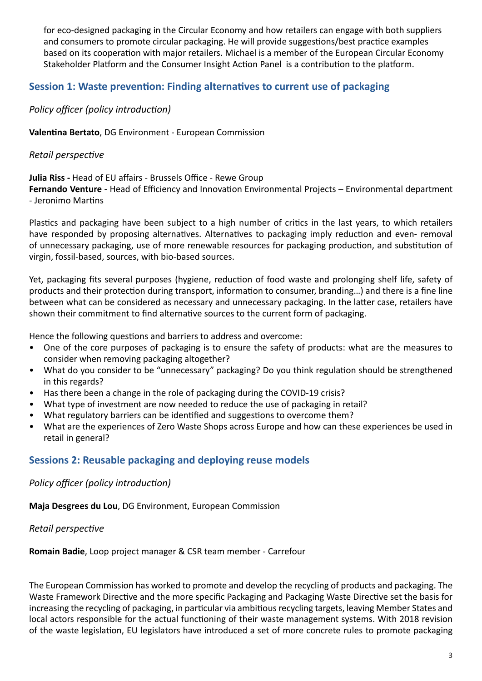and consumers to promote circular packaging. He<br>based on its cooperation with major retailers. Mi<br>Stakeholder Platform and the Consumer Insight A for eco-designed packaging in the Circular Economy and how retailers can engage with both suppliers and consumers to promote circular packaging. He will provide suggestions/best practice examples based on its cooperation with major retailers. Michael is a member of the European Circular Economy Stakeholder Platform and the Consumer Insight Action Panel is a contribution to the platform.

### **Session 1: Waste prevention: Finding alternatives to current use of packaging**

 $\mathcal{S}$  and a contract for a circular economy of  $\mathcal{S}$ *Policy officer (policy introduction)*

**Valentina Bertato**, DG Environment - European Commission

*Retail perspective*

**Julia Riss -** Head of EU affairs - Brussels Office - Rewe Group

**Fernando Venture** - Head of Efficiency and Innovation Environmental Projects – Environmental department - Jeronimo Martins

Plastics and packaging have been subject to a high number of critics in the last years, to which retailers have responded by proposing alternatives. Alternatives to packaging imply reduction and even- removal of unnecessary packaging, use of more renewable resources for packaging production, and substitution of virgin, fossil-based, sources, with bio-based sources.

Yet, packaging fits several purposes (hygiene, reduction of food waste and prolonging shelf life, safety of products and their protection during transport, information to consumer, branding…) and there is a fine line between what can be considered as necessary and unnecessary packaging. In the latter case, retailers have shown their commitment to find alternative sources to the current form of packaging.

Hence the following questions and barriers to address and overcome:

- One of the core purposes of packaging is to ensure the safety of products: what are the measures to consider when removing packaging altogether?
- What do you consider to be "unnecessary" packaging? Do you think regulation should be strengthened in this regards?
- Has there been a change in the role of packaging during the COVID-19 crisis?
- What type of investment are now needed to reduce the use of packaging in retail?
- What regulatory barriers can be identified and suggestions to overcome them?
- What are the experiences of Zero Waste Shops across Europe and how can these experiences be used in retail in general?

### **Sessions 2: Reusable packaging and deploying reuse models**

*Policy officer (policy introduction)*

**Maja Desgrees du Lou**, DG Environment, European Commission

*Retail perspective*

**Romain Badie**, Loop project manager & CSR team member - Carrefour

The European Commission has worked to promote and develop the recycling of products and packaging. The Waste Framework Directive and the more specific Packaging and Packaging Waste Directive set the basis for increasing the recycling of packaging, in particular via ambitious recycling targets, leaving Member States and local actors responsible for the actual functioning of their waste management systems. With 2018 revision of the waste legislation, EU legislators have introduced a set of more concrete rules to promote packaging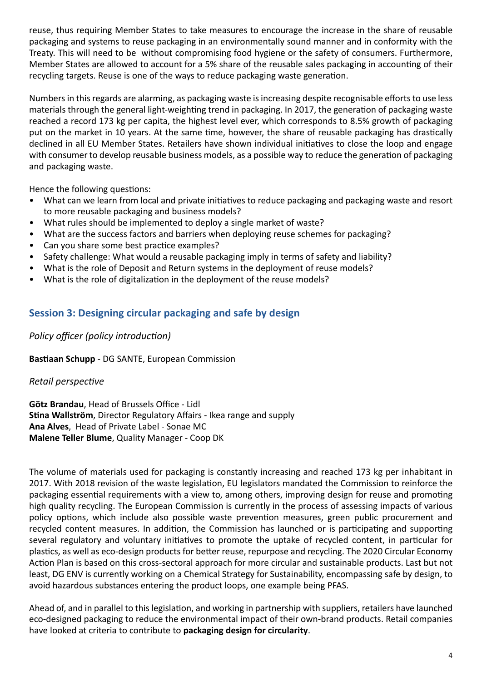ackaging and systems to reuse packaging in an envi<br>Teaty. This will need to be without compromising f<br>Aember States are allowed to account for a 5% shar recycling targets. Reuse is one of the ways to reduce packaging waste generation. reuse, thus requiring Member States to take measures to encourage the increase in the share of reusable packaging and systems to reuse packaging in an environmentally sound manner and in conformity with the Treaty. This will need to be without compromising food hygiene or the safety of consumers. Furthermore, Member States are allowed to account for a 5% share of the reusable sales packaging in accounting of their

Numbers in this regards are alarming, as packaging waste is increasing despite recognisable efforts to use less put on the market in 10 years. At the same time, however, the share of reusable packaging has drastically materials through the general light-weighting trend in packaging. In 2017, the generation of packaging waste reached a record 173 kg per capita, the highest level ever, which corresponds to 8.5% growth of packaging declined in all EU Member States. Retailers have shown individual initiatives to close the loop and engage with consumer to develop reusable business models, as a possible way to reduce the generation of packaging and packaging waste.

Hence the following questions:

- What can we learn from local and private initiatives to reduce packaging and packaging waste and resort to more reusable packaging and business models?
- What rules should be implemented to deploy a single market of waste?
- What are the success factors and barriers when deploying reuse schemes for packaging?
- Can you share some best practice examples?
- Safety challenge: What would a reusable packaging imply in terms of safety and liability?
- What is the role of Deposit and Return systems in the deployment of reuse models?
- What is the role of digitalization in the deployment of the reuse models?

### **Session 3: Designing circular packaging and safe by design**

*Policy officer (policy introduction)*

**Bastiaan Schupp** - DG SANTE, European Commission

#### *Retail perspective*

**Götz Brandau**, Head of Brussels Office - Lidl **Stina Wallström**, Director Regulatory Affairs - Ikea range and supply **Ana Alves**, Head of Private Label - Sonae MC **Malene Teller Blume**, Quality Manager - Coop DK

The volume of materials used for packaging is constantly increasing and reached 173 kg per inhabitant in 2017. With 2018 revision of the waste legislation, EU legislators mandated the Commission to reinforce the packaging essential requirements with a view to, among others, improving design for reuse and promoting high quality recycling. The European Commission is currently in the process of assessing impacts of various policy options, which include also possible waste prevention measures, green public procurement and recycled content measures. In addition, the Commission has launched or is participating and supporting several regulatory and voluntary initiatives to promote the uptake of recycled content, in particular for plastics, as well as eco-design products for better reuse, repurpose and recycling. The 2020 Circular Economy Action Plan is based on this cross-sectoral approach for more circular and sustainable products. Last but not least, DG ENV is currently working on a Chemical Strategy for Sustainability, encompassing safe by design, to avoid hazardous substances entering the product loops, one example being PFAS.

Ahead of, and in parallel to this legislation, and working in partnership with suppliers, retailers have launched eco-designed packaging to reduce the environmental impact of their own-brand products. Retail companies have looked at criteria to contribute to **packaging design for circularity**.